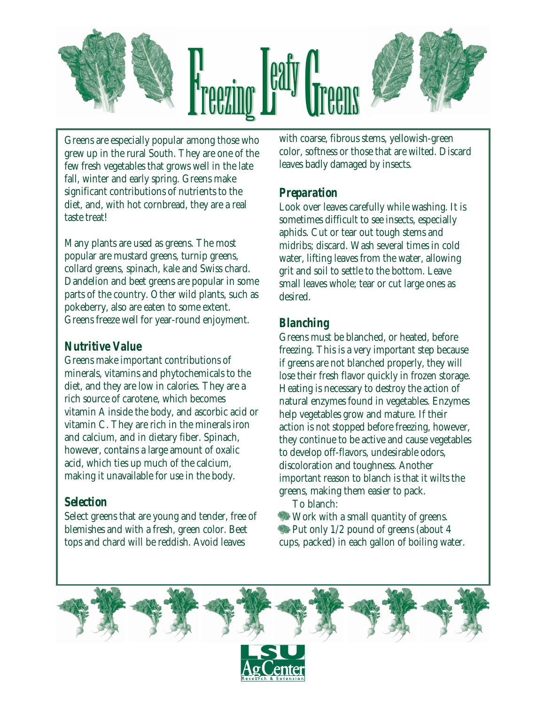

Greens are especially popular among those who grew up in the rural South. They are one of the few fresh vegetables that grows well in the late fall, winter and early spring. Greens make significant contributions of nutrients to the diet, and, with hot cornbread, they are a real taste treat!

Many plants are used as greens. The most popular are mustard greens, turnip greens, collard greens, spinach, kale and Swiss chard. Dandelion and beet greens are popular in some parts of the country. Other wild plants, such as pokeberry, also are eaten to some extent. Greens freeze well for year-round enjoyment.

## *Nutritive Value*

Greens make important contributions of minerals, vitamins and phytochemicals to the diet, and they are low in calories. They are a rich source of carotene, which becomes vitamin A inside the body, and ascorbic acid or vitamin C. They are rich in the minerals iron and calcium, and in dietary fiber. Spinach, however, contains a large amount of oxalic acid, which ties up much of the calcium, making it unavailable for use in the body.

#### *Selection*

Select greens that are young and tender, free of blemishes and with a fresh, green color. Beet tops and chard will be reddish. Avoid leaves

with coarse, fibrous stems, yellowish-green color, softness or those that are wilted. Discard leaves badly damaged by insects.

### *Preparation*

Look over leaves carefully while washing. It is sometimes difficult to see insects, especially aphids. Cut or tear out tough stems and midribs; discard. Wash several times in cold water, lifting leaves from the water, allowing grit and soil to settle to the bottom. Leave small leaves whole; tear or cut large ones as desired.

# *Blanching*

Greens must be blanched, or heated, before freezing. This is a very important step because if greens are not blanched properly, they will lose their fresh flavor quickly in frozen storage. Heating is necessary to destroy the action of natural enzymes found in vegetables. Enzymes help vegetables grow and mature. If their action is not stopped before freezing, however, they continue to be active and cause vegetables to develop off-flavors, undesirable odors, discoloration and toughness. Another important reason to blanch is that it wilts the greens, making them easier to pack.

To blanch:

 Work with a small quantity of greens. Put only 1/2 pound of greens (about 4 cups, packed) in each gallon of boiling water.